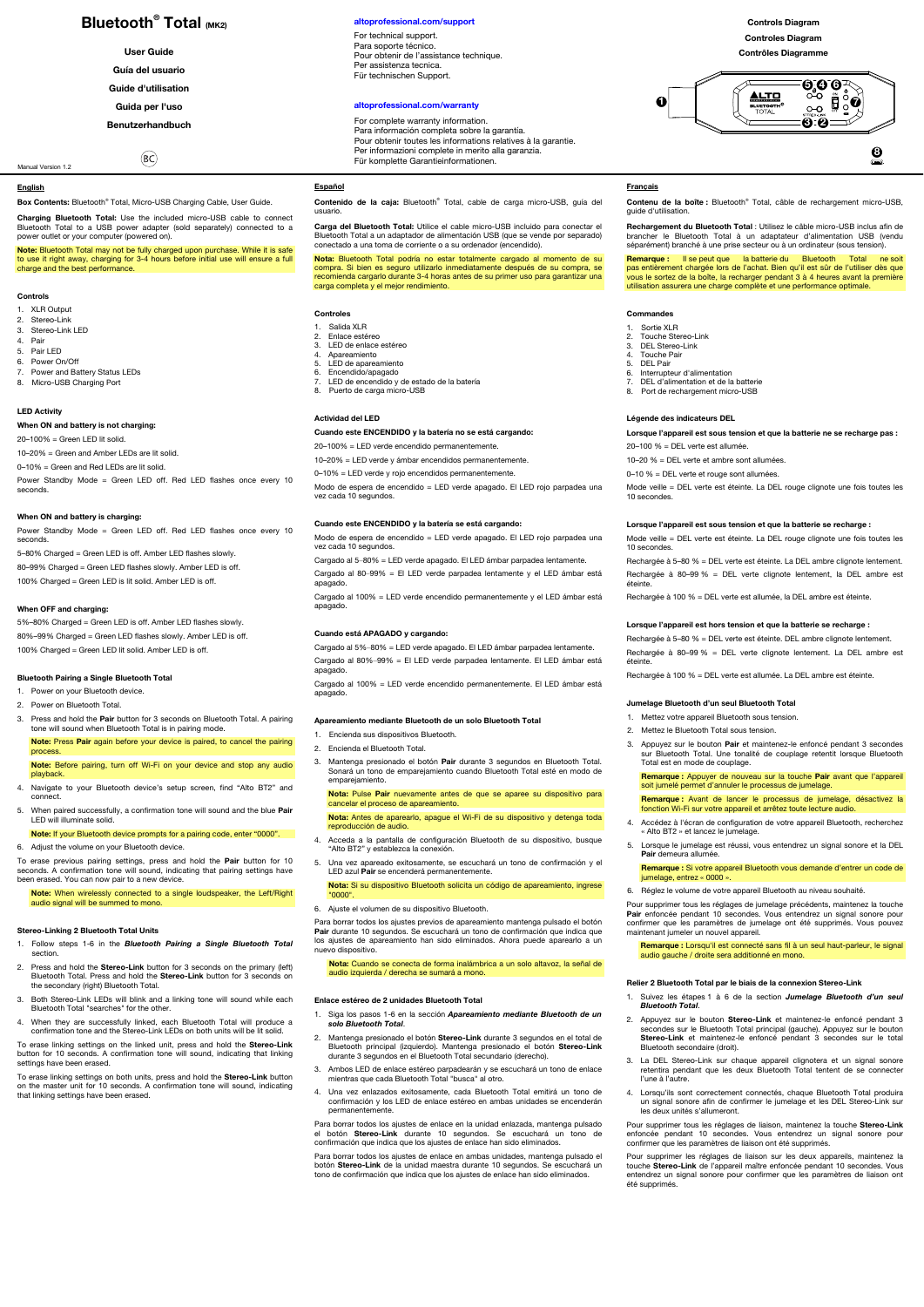## **Bluetooth<sup>®</sup> Total (MK2)**

**User Guide** 

- **Guía del usuario**
- **Guide d'utilisation**
- **Guida per l'uso**

**Benutzerhandbuch**   $R<sup>o</sup>$ 

# Ï,

Manual Version 1.2

#### **English**

**Box Contents:** Bluetooth® Total, Micro-USB Charging Cable, User Guide.

**Charging Bluetooth Total:** Use the included micro-USB cable to connect Bluetooth Total to a USB power adapter (sold separately) connected to a power outlet or your computer (powered on).

**Note:** Bluetooth Total may not be fully charged upon purchase. While it is safe to use it right away, charging for 3-4 hours before initial use will ensure a full charge and the best performance.

#### **Controls**

- 
- 1. XLR Output<br>2. Stereo-Link<br>3. Stereo-Link 3. Stereo-Link LED
- 4. Pair
- 5. Pair LED
- Power On/Off
- 7. Power and Battery Status LEDs<br>8. Micro-LISB Charging Port Micro-USB Charging Port

#### **LED Activity**

**When ON and battery is not charging:** 

20–100% = Green LED lit solid. 10–20% = Green and Amber LEDs are lit solid. 0–10% = Green and Red LEDs are lit solid.

Power Standby Mode = Green LED off. Red LED flashes once every 10 seconds.

## **When ON and battery is charging:**

Power Standby Mode = Green LED off. Red LED flashes once every 10 seconds. 5–80% Charged = Green LED is off. Amber LED flashes slowly.

80–99% Charged = Green LED flashes slowly. Amber LED is off. 100% Charged = Green LED is lit solid. Amber LED is off.

#### **When OFF and charging:**

5%–80% Charged = Green LED is off. Amber LED flashes slowly. 80%–99% Charged = Green LED flashes slowly. Amber LED is off. 100% Charged = Green LED lit solid. Amber LED is off.

#### **Bluetooth Pairing a Single Bluetooth Total**

- 1. Power on your Bluetooth device.
- 2. Power on Bluetooth Total.
- 3. Press and hold the **Pair** button for 3 seconds on Bluetooth Total. A pairing tone will sound when Bluetooth Total is in pairing mode. **Note:** Press **Pair** again before your device is paired, to cancel the pairing

#### process. **Note:** Before pairing, turn off Wi-Fi on your device and stop any audio

playb

4. Navigate to your Bluetooth device's setup screen, find "Alto BT2" and connect. 5. When paired successfully, a confirmation tone will sound and the blue **Pair** 

LED will illuminate solid. **Note:** If your Bluetooth device prompts for a pairing code, enter "0000".

6. Adjust the volume on your Bluetooth device.

To erase previous pairing settings, press and hold the **Pair** button for 10<br>seconds. A confirmation tone will sound, indicating that pairing settings have<br>been erased. You can now pair to a new device.

**Note:** When wirelessly connected to a single loudspeaker, the Left/Right audio signal will be summed to mono.

#### **Stereo-Linking 2 Bluetooth Total Units**

- 1. Follow steps 1-6 in the *Bluetooth Pairing a Single Bluetooth Total* section.
- 2. Press and hold the **Stereo-Link** button for 3 seconds on the primary (left) Bluetooth Total. Press and hold the **Stereo-Link** button for 3 seconds on the secondary (right) Bluetooth Total.
- 3. Both Stereo-Link LEDs will blink and a linking tone will sound while each Bluetooth Total "searches" for the other.
- 4. When they are successfully linked, each Bluetooth Total will produce a confirmation tone and the Stereo-Link LEDs on both units will be lit solid.

To erase linking settings on the linked unit, press and hold the **Stereo-Link**  button for 10 seconds. A confirmation tone will sound, indicating that linking settings have been erased. ıc<br>n

To erase linking settings on both units, press and hold the **Stereo-Link** button on the master unit for 10 seconds. A confirmation tone will sound, indicating that linking settings have been erased.

#### $altoprofessional.com/supp$

For technical support. Para soporte técnico. Pour obtenir de l'assistance technique. Per assistenza tecnica. Für technischen Support.

#### **[altoprofessional.com/warranty](http://altoprofessional.com/warranty)**

For complete warranty information. Para información completa sobre la garantía. Pour obtenir toutes les informations relatives à la garantie. Per informazioni complete in merito alla garanzia. Für komplette Garantieinformationen.

## **Español**

**Contenido de la caja:** Bluetooth® Total, cable de carga micro-USB, guía del usuario.

**Carga del Bluetooth Total:** Utilice el cable micro-USB incluido para conectar el<br>Bluetooth Total a un adaptador de alimentación USB (que se vende por separado)<br>conectado a una toma de corriente o a su ordenador (encendido

**Nota:** Bluetooth Total podría no estar totalmente cargado al momento de su compra. Si bien es seguro utilizarlo inmediatamente después de su compra, se recomienda cargarlo durante 3-4 horas antes de su primer uso para garantizar una carga completa y el mejor rendimiento.

#### **Controles**

- 
- 1. Salida XLR 2. Enlace estéreo 3. LED de enlace estéreo
- 4. Apareamiento 5. LED de apareamiento
- 
- 6. Encendido/apagado 7. LED de encendido y de estado de la batería
- 8. Puerto de carga micro-USB

#### **Actividad del LED**

apagado.

## **Cuando este ENCENDIDO y la batería no se está cargando:**

 $20-100% =$  LED verde encendido permanentemente.

10–20% = LED verde y ámbar encendidos permanentemente. 0–10% = LED verde y rojo encendidos permanentemente.

Modo de espera de encendido = LED verde apagado. El LED rojo parpadea una vez cada 10 segundos.

## **Cuando este ENCENDIDO y la batería se está cargando:**

Modo de espera de encendido = LED verde apagado. El LED rojo parpadea una<br>vez cada 10 segundos vez cada 10 segundos.

Cargado al 5–80% = LED verde apagado. El LED ámbar parpadea lentamente. Cargado al 80–99% = El LED verde parpadea lentamente y el LED ámbar está

apagado. Cargado al 100% = LED verde encendido permanentemente y el LED ámbar está

## **Cuando está APAGADO y cargando:**

Cargado al 5%–80% = LED verde apagado. El LED ámbar parpadea lentamente. Cargado al 80%–99% = El LED verde parpadea lentamente. El LED ámbar está apagado.

Cargado al 100% = LED verde encendido permanentemente. El LED ámbar está apagado.

#### **Apareamiento mediante Bluetooth de un solo Bluetooth Total**

- 1. Encienda sus dispositivos Bluetooth.
- 2. Encienda el Bluetooth Total.
- 3. Mantenga presionado el botón **Pair** durante 3 segundos en Bluetooth Total. Sonará un tono de emparejamiento cuando Bluetooth Total esté en modo de emparejamiento.

**Nota:** Pulse **Pair** nuevamente antes de que se aparee su dispositivo para cancelar el proceso de apareamiento.

**Nota:** Antes de aparearlo, apague el Wi-Fi de su dispositivo y detenga toda<br>reproducción de audio.

- 4. Acceda a la pantalla de configuración Bluetooth de su dispositivo, busque "Alto BT2" y establezca la conexión.
- 5. Una vez apareado exitosamente, se escuchará un tono de confirmación y el LED azul **Pair** se encenderá permanentemente.
- **Nota:** Si su dispositivo Bluetooth solicita un código de apareamiento, ingrese<br>"0000".

6. Ajuste el volumen de su dispositivo Bluetooth.

Para borrar todos los ajustes previos de apareamiento mantenga pulsado el botón<br>**Pair** durante 10 segundos. Se escuchará un tono de confirmación que indica que<br>los ajustes de apareamiento han sido eliminados. Ahora puede a

**Nota:** Cuando se conecta de forma inalámbrica a un solo altavoz, la señal de audio izquierda / derecha se sumará a mono.

#### **Enlace estéreo de 2 unidades Bluetooth Total**

- 1. Siga los pasos 1-6 en la sección *Apareamiento mediante Bluetooth de un solo Bluetooth Total*.
- 2. Mantenga presionado el botón Stereo-Link durante 3 segundos en el total d Bluetooth principal (izquierdo). Mantenga presionado el botón **Stereo-Link** durante 3 segundos en el Bluetooth Total secundario (derecho).
- 3. Ambos LED de enlace estéreo parpadearán y se escuchará un tono de enlace mientras que cada Bluetooth Total "busca" al otro.
- 4. Una vez enlazados exitosamente, cada Bluetooth Total emitirá un tono de confirmación y los LED de enlace estéreo en ambas unidades se encenderán permanentem

Para borrar todos los ajustes de enlace en la unidad enlazada, mantenga pulsado<br>el botón **Stereo-Link** durante 10 segundos. Se escuchará un tono de<br>confirmación que indica que los ajustes de enlace han sido elimi

Para borrar todos los ajustes de enlace en ambas unidades, mantenga pulsado el botón **Stereo-Link** de la unidad maestra durante 10 segundos. Se escuchará un tono de confirmación que indica que los ajustes de enlace han sido eliminados.

#### **Controls Diagram Controles Diagram**

**Contrôles Diagramme** 

$$
\begin{array}{c|c}\n\hline\n0 & \text{if } 0 \\
\hline\n0 & \text{if } 0 \\
\hline\n0 & 0 \\
\hline\n0 & 0\n\end{array}
$$

## **Français**

**Contenu de la boîte :** Bluetooth® Total, câble de rechargement micro-USB, guide d'utilisation.

**Rechargement du Bluetooth Total :** Utilisez le câble micro-USB inclus afin de<br>brancher | e Bluetooth Total à un adaptateur d'alimentation USB (vendu<br>séparément) branché à une prise secteur ou à un ordinateur (sous tension

**Remarque :** Il se peut que la batterie du Bluetooth Total ne soit pas entièrement chargée lors de l'achat. Bien qu'il est sûr de l'utiliser dès que vous le sortez de la boîte, la recharger pendant 3 à 4 heures avant la première utilisation assurera une charge complète et une performance optimale.

**Lorsque l'appareil est sous tension et que la batterie ne se recharge pas :** 

Mode veille = DEL verte est éteinte. La DEL rouge clignote une fois toutes les

Rechargée à 5–80 % = DEL verte est éteinte. La DEL ambre clignote lentement. Rechargée à 80–99 % = DEL verte clignote lentement, la DEL ambre est

**Lorsque l'appareil est sous tension et que la batterie se recharge :**  Mode veille = DEL verte est éteinte. La DEL rouge clignote une fois toutes les

Rechargée à 100 % = DEL verte est allumée, la DEL ambre est éteinte. **Lorsque l'appareil est hors tension et que la batterie se recharge :**  Rechargée à 5–80 % = DEL verte est éteinte. DEL ambre clignote lentement. Rechargée à 80–99 % = DEL verte clignote lentement. La DEL ambre est

Rechargée à 100 % = DEL verte est allumée. La DEL ambre est éteinte

3. Appuyez sur le bouton **Pair** et maintenez-le enfoncé pendant 3 secondes sur Bluetooth Total. Une tonalité de couplage retentit lorsque Bluetooth Total est en mode de couplage. **Remarque :** Appuyer de nouveau sur la touche **Pair** avant que l'appareil

**Remarque :** Avant de lancer le processus de jumelage, désactivez la fonction Wi-Fi sur votre appareil et arrêtez toute lecture audio. 4. Accédez à l'écran de configuration de votre appareil Bluetooth, recherchez « Alto BT2 » et lancez le jumelage. 5. Lorsque le jumelage est réussi, vous entendrez un signal sonore et la DEL

**Remarque :** Si votre appareil Bluetooth vous demande d'entrer un code de jumelage, entrez « 0000 ».

Pour supprimer tous les réglages de jumelage précédents, maintenez la touche<br>**Pair** enfoncée pendant 10 secondes. Vous entendrez un signal sonore pour<br>confirmer que les paramètres de jumelage ont été supprimés. Vous pouvez

2. Appuyez sur le bouton **Stereo-Link** et maintenez-le enfoncé pendant 3 secondes sur le Bluetooth Total principal (gauche). Appuyez sur le bouton **Stereo-Link** et maintenez-le enfoncé pendant 3 secondes sur le total Bluetooth secondaire (droit). 3. La DEL Stereo-Link sur chaque appareil clignotera et un signal sonore retentiva control control tentential tentent de se connected that pendant que les deux Bluetooth Total tentent de se connecter

4. Lorsqu'ils sont correctement connectés, chaque Bluetooth Total produira un signal sonore afin de confirmer le jumelage et les DEL Stereo-Link sur les deux unités s'allumeront. Pour supprimer tous les réglages de liaison, maintenez la touche **Stereo-Link** enfoncée pendant 10 secondes. Vous entendrez un signal sonore pour

Pour supprimer les réglages de liaison sur les deux appareils, maintenez la touche **Stereo-Link** de l'appareil maître enfoncée pendant 10 secondes. Vous entendrez un signal sonore pour confirmer que les paramètres de liaison ont

confirmer que les paramètres de liaison ont été supprimés.

**Remarque :** Lorsqu'il est connecté sans fil à un seul haut-parleur, le signal audio gauche / droite sera additionné en mono.

6. Réglez le volume de votre appareil Bluetooth au niveau souhaité.

**Relier 2 Bluetooth Total par le biais de la connexion Stereo-Link**  1. Suivez les étapes 1 à 6 de la section *Jumelage Bluetooth d'un seul* 

**Jumelage Bluetooth d'un seul Bluetooth Total**  1. Mettez votre appareil Bluetooth sous tension. 2. Mettez le Bluetooth Total sous tension.

soit jumelé permet d'annuler le processus de jume

**Pair** demeura allumée.

*Bluetooth Total*.

l'une à l'autre.

été supprimés.

#### **Commandes**

5. DEL Pair

10 secondes.

10 secondes.

éteinte.

éteinte.

1. Sortie XLR 2. Touche Stereo-Link<br>3. DEL Stereo-Link<br>4. Touche Pair 3. DEL Stereo-Link 4. Touche Pair

6. Interrupteur d'alimentation 7. DEL d'alimentation et de la batterie ect a allmontation of abital **Légende des indicateurs DEL** 

20–100 % = DEL verte est allumée. 10–20 % = DEL verte et ambre sont allumées. 0–10 % = DEL verte et rouge sont allumées.